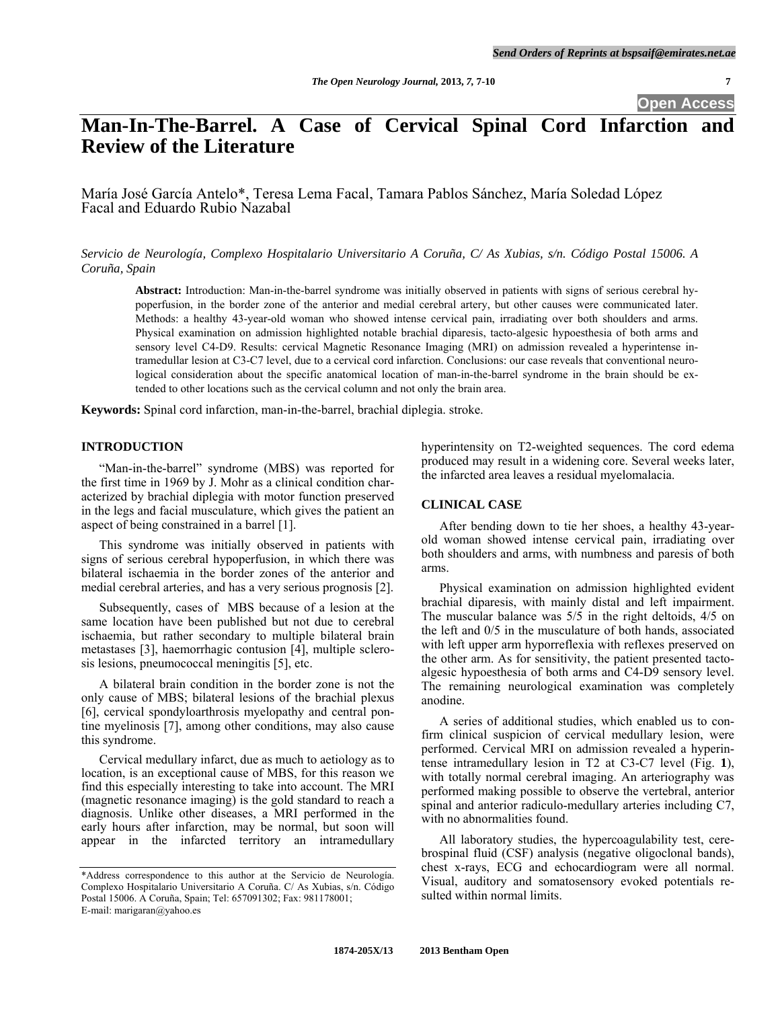**Open Access** 

# **Man-In-The-Barrel. A Case of Cervical Spinal Cord Infarction and Review of the Literature**

María José García Antelo\*, Teresa Lema Facal, Tamara Pablos Sánchez, María Soledad López Facal and Eduardo Rubio Nazabal

*Servicio de Neurología, Complexo Hospitalario Universitario A Coruña, C/ As Xubias, s/n. Código Postal 15006. A Coruña, Spain* 

**Abstract:** Introduction: Man-in-the-barrel syndrome was initially observed in patients with signs of serious cerebral hypoperfusion, in the border zone of the anterior and medial cerebral artery, but other causes were communicated later. Methods: a healthy 43-year-old woman who showed intense cervical pain, irradiating over both shoulders and arms. Physical examination on admission highlighted notable brachial diparesis, tacto-algesic hypoesthesia of both arms and sensory level C4-D9. Results: cervical Magnetic Resonance Imaging (MRI) on admission revealed a hyperintense intramedullar lesion at C3-C7 level, due to a cervical cord infarction. Conclusions: our case reveals that conventional neurological consideration about the specific anatomical location of man-in-the-barrel syndrome in the brain should be extended to other locations such as the cervical column and not only the brain area.

**Keywords:** Spinal cord infarction, man-in-the-barrel, brachial diplegia. stroke.

## **INTRODUCTION**

 "Man-in-the-barrel" syndrome (MBS) was reported for the first time in 1969 by J. Mohr as a clinical condition characterized by brachial diplegia with motor function preserved in the legs and facial musculature, which gives the patient an aspect of being constrained in a barrel [1].

 This syndrome was initially observed in patients with signs of serious cerebral hypoperfusion, in which there was bilateral ischaemia in the border zones of the anterior and medial cerebral arteries, and has a very serious prognosis [2].

 Subsequently, cases of MBS because of a lesion at the same location have been published but not due to cerebral ischaemia, but rather secondary to multiple bilateral brain metastases [3], haemorrhagic contusion [4], multiple sclerosis lesions, pneumococcal meningitis [5], etc.

 A bilateral brain condition in the border zone is not the only cause of MBS; bilateral lesions of the brachial plexus [6], cervical spondyloarthrosis myelopathy and central pontine myelinosis [7], among other conditions, may also cause this syndrome.

 Cervical medullary infarct, due as much to aetiology as to location, is an exceptional cause of MBS, for this reason we find this especially interesting to take into account. The MRI (magnetic resonance imaging) is the gold standard to reach a diagnosis. Unlike other diseases, a MRI performed in the early hours after infarction, may be normal, but soon will appear in the infarcted territory an intramedullary

hyperintensity on T2-weighted sequences. The cord edema produced may result in a widening core. Several weeks later, the infarcted area leaves a residual myelomalacia.

# **CLINICAL CASE**

 After bending down to tie her shoes, a healthy 43-yearold woman showed intense cervical pain, irradiating over both shoulders and arms, with numbness and paresis of both arms.

 Physical examination on admission highlighted evident brachial diparesis, with mainly distal and left impairment. The muscular balance was 5/5 in the right deltoids, 4/5 on the left and 0/5 in the musculature of both hands, associated with left upper arm hyporreflexia with reflexes preserved on the other arm. As for sensitivity, the patient presented tactoalgesic hypoesthesia of both arms and C4-D9 sensory level. The remaining neurological examination was completely anodine.

 A series of additional studies, which enabled us to confirm clinical suspicion of cervical medullary lesion, were performed. Cervical MRI on admission revealed a hyperintense intramedullary lesion in T2 at C3-C7 level (Fig. **1**), with totally normal cerebral imaging. An arteriography was performed making possible to observe the vertebral, anterior spinal and anterior radiculo-medullary arteries including C7, with no abnormalities found.

 All laboratory studies, the hypercoagulability test, cerebrospinal fluid (CSF) analysis (negative oligoclonal bands), chest x-rays, ECG and echocardiogram were all normal. Visual, auditory and somatosensory evoked potentials resulted within normal limits.

<sup>\*</sup>Address correspondence to this author at the Servicio de Neurología. Complexo Hospitalario Universitario A Coruña. C/ As Xubias, s/n. Código Postal 15006. A Coruña, Spain; Tel: 657091302; Fax: 981178001; E-mail: marigaran@yahoo.es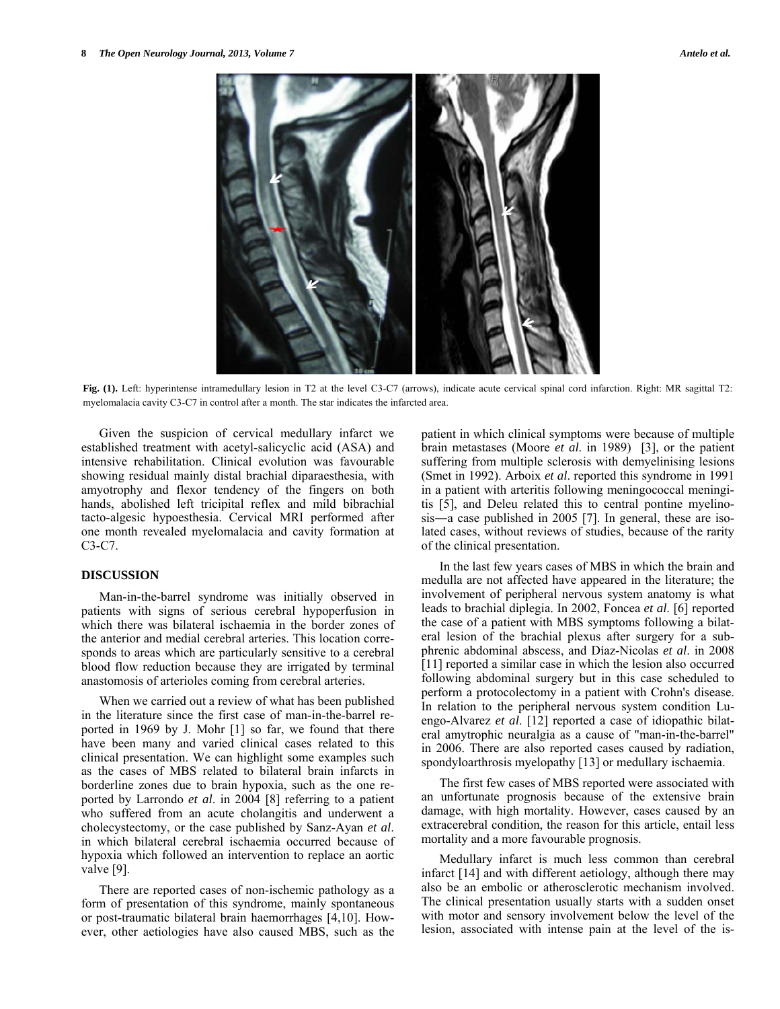

**Fig. (1).** Left: hyperintense intramedullary lesion in T2 at the level C3-C7 (arrows), indicate acute cervical spinal cord infarction. Right: MR sagittal T2: myelomalacia cavity C3-C7 in control after a month. The star indicates the infarcted area.

 Given the suspicion of cervical medullary infarct we established treatment with acetyl-salicyclic acid (ASA) and intensive rehabilitation. Clinical evolution was favourable showing residual mainly distal brachial diparaesthesia, with amyotrophy and flexor tendency of the fingers on both hands, abolished left tricipital reflex and mild bibrachial tacto-algesic hypoesthesia. Cervical MRI performed after one month revealed myelomalacia and cavity formation at C3-C7.

# **DISCUSSION**

 Man-in-the-barrel syndrome was initially observed in patients with signs of serious cerebral hypoperfusion in which there was bilateral ischaemia in the border zones of the anterior and medial cerebral arteries. This location corresponds to areas which are particularly sensitive to a cerebral blood flow reduction because they are irrigated by terminal anastomosis of arterioles coming from cerebral arteries.

 When we carried out a review of what has been published in the literature since the first case of man-in-the-barrel reported in 1969 by J. Mohr [1] so far, we found that there have been many and varied clinical cases related to this clinical presentation. We can highlight some examples such as the cases of MBS related to bilateral brain infarcts in borderline zones due to brain hypoxia, such as the one reported by Larrondo *et al*. in 2004 [8] referring to a patient who suffered from an acute cholangitis and underwent a cholecystectomy, or the case published by Sanz-Ayan *et al*. in which bilateral cerebral ischaemia occurred because of hypoxia which followed an intervention to replace an aortic valve [9].

 There are reported cases of non-ischemic pathology as a form of presentation of this syndrome, mainly spontaneous or post-traumatic bilateral brain haemorrhages [4,10]. However, other aetiologies have also caused MBS, such as the patient in which clinical symptoms were because of multiple brain metastases (Moore *et al*. in 1989) [3], or the patient suffering from multiple sclerosis with demyelinising lesions (Smet in 1992). Arboix *et al*. reported this syndrome in 1991 in a patient with arteritis following meningococcal meningitis [5], and Deleu related this to central pontine myelinosis―a case published in 2005 [7]. In general, these are isolated cases, without reviews of studies, because of the rarity of the clinical presentation.

 In the last few years cases of MBS in which the brain and medulla are not affected have appeared in the literature; the involvement of peripheral nervous system anatomy is what leads to brachial diplegia. In 2002, Foncea *et al*. [6] reported the case of a patient with MBS symptoms following a bilateral lesion of the brachial plexus after surgery for a subphrenic abdominal abscess, and Díaz-Nicolas *et al*. in 2008 [11] reported a similar case in which the lesion also occurred following abdominal surgery but in this case scheduled to perform a protocolectomy in a patient with Crohn's disease. In relation to the peripheral nervous system condition Luengo-Alvarez *et al*. [12] reported a case of idiopathic bilateral amytrophic neuralgia as a cause of "man-in-the-barrel" in 2006. There are also reported cases caused by radiation, spondyloarthrosis myelopathy [13] or medullary ischaemia.

 The first few cases of MBS reported were associated with an unfortunate prognosis because of the extensive brain damage, with high mortality. However, cases caused by an extracerebral condition, the reason for this article, entail less mortality and a more favourable prognosis.

 Medullary infarct is much less common than cerebral infarct [14] and with different aetiology, although there may also be an embolic or atherosclerotic mechanism involved. The clinical presentation usually starts with a sudden onset with motor and sensory involvement below the level of the lesion, associated with intense pain at the level of the is-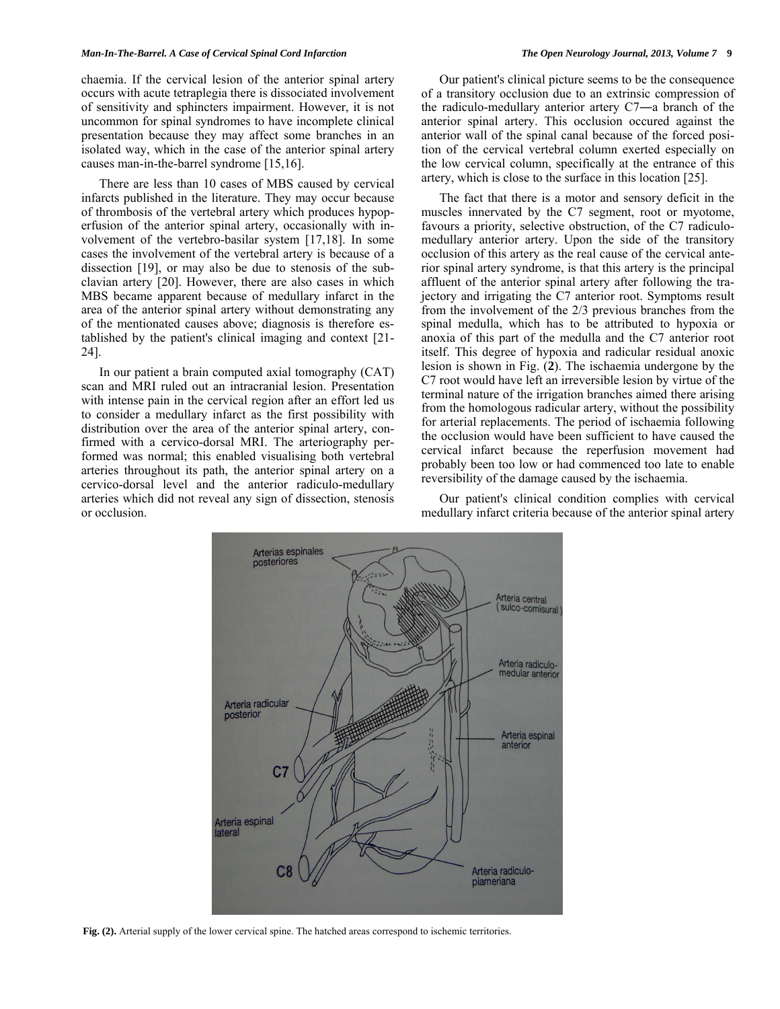#### *Man-In-The-Barrel. A Case of Cervical Spinal Cord Infarction The Open Neurology Journal, 2013, Volume 7* **9**

chaemia. If the cervical lesion of the anterior spinal artery occurs with acute tetraplegia there is dissociated involvement of sensitivity and sphincters impairment. However, it is not uncommon for spinal syndromes to have incomplete clinical presentation because they may affect some branches in an isolated way, which in the case of the anterior spinal artery causes man-in-the-barrel syndrome [15,16].

 There are less than 10 cases of MBS caused by cervical infarcts published in the literature. They may occur because of thrombosis of the vertebral artery which produces hypoperfusion of the anterior spinal artery, occasionally with involvement of the vertebro-basilar system [17,18]. In some cases the involvement of the vertebral artery is because of a dissection [19], or may also be due to stenosis of the subclavian artery [20]. However, there are also cases in which MBS became apparent because of medullary infarct in the area of the anterior spinal artery without demonstrating any of the mentionated causes above; diagnosis is therefore established by the patient's clinical imaging and context [21- 24].

 In our patient a brain computed axial tomography (CAT) scan and MRI ruled out an intracranial lesion. Presentation with intense pain in the cervical region after an effort led us to consider a medullary infarct as the first possibility with distribution over the area of the anterior spinal artery, confirmed with a cervico-dorsal MRI. The arteriography performed was normal; this enabled visualising both vertebral arteries throughout its path, the anterior spinal artery on a cervico-dorsal level and the anterior radiculo-medullary arteries which did not reveal any sign of dissection, stenosis or occlusion.

 Our patient's clinical picture seems to be the consequence of a transitory occlusion due to an extrinsic compression of the radiculo-medullary anterior artery C7―a branch of the anterior spinal artery. This occlusion occured against the anterior wall of the spinal canal because of the forced position of the cervical vertebral column exerted especially on the low cervical column, specifically at the entrance of this artery, which is close to the surface in this location [25].

 The fact that there is a motor and sensory deficit in the muscles innervated by the C7 segment, root or myotome, favours a priority, selective obstruction, of the C7 radiculomedullary anterior artery. Upon the side of the transitory occlusion of this artery as the real cause of the cervical anterior spinal artery syndrome, is that this artery is the principal affluent of the anterior spinal artery after following the trajectory and irrigating the C7 anterior root. Symptoms result from the involvement of the 2/3 previous branches from the spinal medulla, which has to be attributed to hypoxia or anoxia of this part of the medulla and the C7 anterior root itself. This degree of hypoxia and radicular residual anoxic lesion is shown in Fig. (**2**). The ischaemia undergone by the C7 root would have left an irreversible lesion by virtue of the terminal nature of the irrigation branches aimed there arising from the homologous radicular artery, without the possibility for arterial replacements. The period of ischaemia following the occlusion would have been sufficient to have caused the cervical infarct because the reperfusion movement had probably been too low or had commenced too late to enable reversibility of the damage caused by the ischaemia.

 Our patient's clinical condition complies with cervical medullary infarct criteria because of the anterior spinal artery



**Fig. (2).** Arterial supply of the lower cervical spine. The hatched areas correspond to ischemic territories.